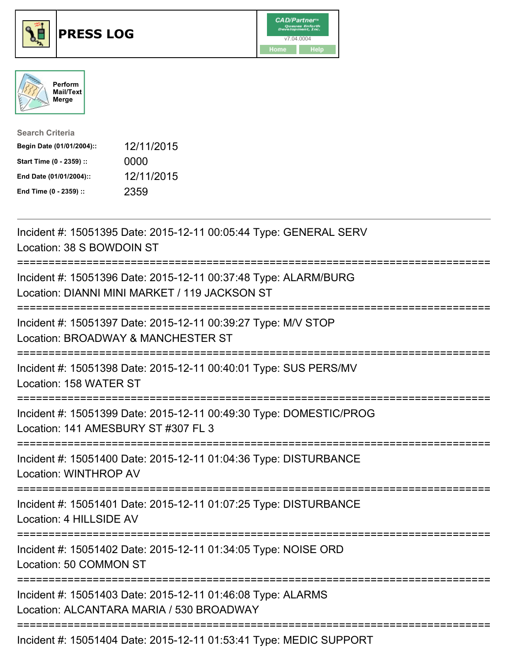

## **PRESS LOG** v7.04.0004





| <b>Search Criteria</b>    |            |
|---------------------------|------------|
| Begin Date (01/01/2004):: | 12/11/2015 |
| Start Time (0 - 2359) ::  | 0000       |
| End Date (01/01/2004)::   | 12/11/2015 |
| End Time (0 - 2359) ::    | 2359       |

Incident #: 15051395 Date: 2015-12-11 00:05:44 Type: GENERAL SERV Location: 38 S BOWDOIN ST =========================================================================== Incident #: 15051396 Date: 2015-12-11 00:37:48 Type: ALARM/BURG Location: DIANNI MINI MARKET / 119 JACKSON ST =========================================================================== Incident #: 15051397 Date: 2015-12-11 00:39:27 Type: M/V STOP Location: BROADWAY & MANCHESTER ST =========================================================================== Incident #: 15051398 Date: 2015-12-11 00:40:01 Type: SUS PERS/MV Location: 158 WATER ST =========================================================================== Incident #: 15051399 Date: 2015-12-11 00:49:30 Type: DOMESTIC/PROG Location: 141 AMESBURY ST #307 FL 3 =========================================================================== Incident #: 15051400 Date: 2015-12-11 01:04:36 Type: DISTURBANCE Location: WINTHROP AV =========================================================================== Incident #: 15051401 Date: 2015-12-11 01:07:25 Type: DISTURBANCE Location: 4 HILLSIDE AV =========================================================================== Incident #: 15051402 Date: 2015-12-11 01:34:05 Type: NOISE ORD Location: 50 COMMON ST =========================================================================== Incident #: 15051403 Date: 2015-12-11 01:46:08 Type: ALARMS Location: ALCANTARA MARIA / 530 BROADWAY ===========================================================================

Incident #: 15051404 Date: 2015-12-11 01:53:41 Type: MEDIC SUPPORT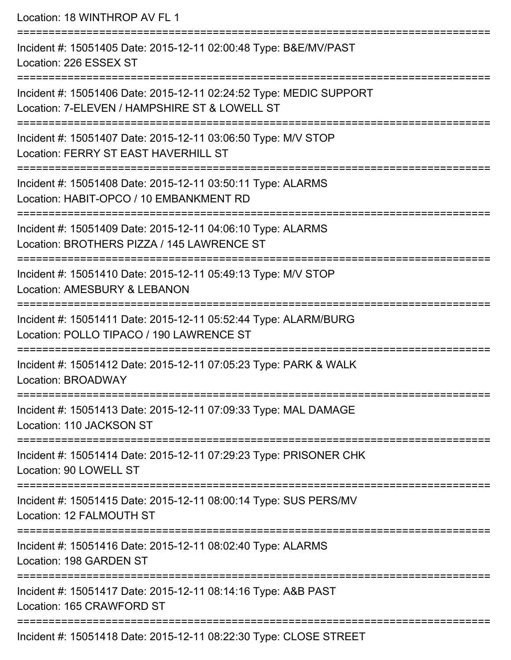Location: 18 WINTHROP AV FL 1

=========================================================================== Incident #: 15051405 Date: 2015-12-11 02:00:48 Type: B&E/MV/PAST Location: 226 ESSEX ST =========================================================================== Incident #: 15051406 Date: 2015-12-11 02:24:52 Type: MEDIC SUPPORT Location: 7-ELEVEN / HAMPSHIRE ST & LOWELL ST =========================================================================== Incident #: 15051407 Date: 2015-12-11 03:06:50 Type: M/V STOP Location: FERRY ST EAST HAVERHILL ST =========================================================================== Incident #: 15051408 Date: 2015-12-11 03:50:11 Type: ALARMS Location: HABIT-OPCO / 10 EMBANKMENT RD =========================================================================== Incident #: 15051409 Date: 2015-12-11 04:06:10 Type: ALARMS Location: BROTHERS PIZZA / 145 LAWRENCE ST =========================================================================== Incident #: 15051410 Date: 2015-12-11 05:49:13 Type: M/V STOP Location: AMESBURY & LEBANON =========================================================================== Incident #: 15051411 Date: 2015-12-11 05:52:44 Type: ALARM/BURG Location: POLLO TIPACO / 190 LAWRENCE ST =========================================================================== Incident #: 15051412 Date: 2015-12-11 07:05:23 Type: PARK & WALK Location: BROADWAY =========================================================================== Incident #: 15051413 Date: 2015-12-11 07:09:33 Type: MAL DAMAGE Location: 110 JACKSON ST =========================================================================== Incident #: 15051414 Date: 2015-12-11 07:29:23 Type: PRISONER CHK Location: 90 LOWELL ST =========================================================================== Incident #: 15051415 Date: 2015-12-11 08:00:14 Type: SUS PERS/MV Location: 12 FALMOUTH ST =========================================================================== Incident #: 15051416 Date: 2015-12-11 08:02:40 Type: ALARMS Location: 198 GARDEN ST =========================================================================== Incident #: 15051417 Date: 2015-12-11 08:14:16 Type: A&B PAST Location: 165 CRAWFORD ST =========================================================================== Incident #: 15051418 Date: 2015-12-11 08:22:30 Type: CLOSE STREET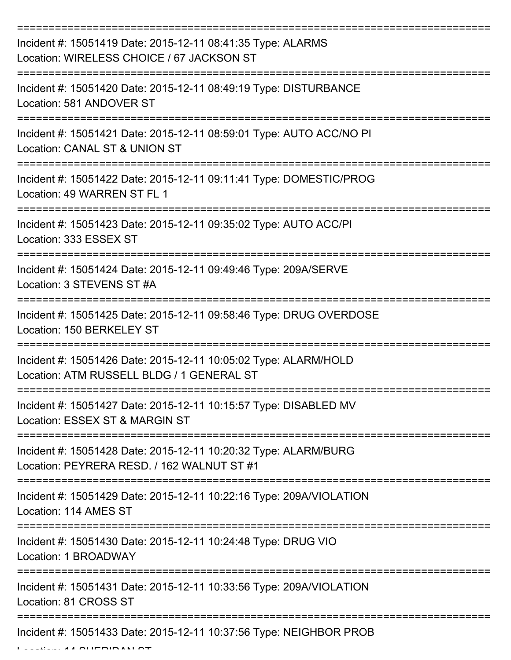| Incident #: 15051419 Date: 2015-12-11 08:41:35 Type: ALARMS<br>Location: WIRELESS CHOICE / 67 JACKSON ST                          |
|-----------------------------------------------------------------------------------------------------------------------------------|
| Incident #: 15051420 Date: 2015-12-11 08:49:19 Type: DISTURBANCE<br>Location: 581 ANDOVER ST                                      |
| Incident #: 15051421 Date: 2015-12-11 08:59:01 Type: AUTO ACC/NO PI<br>Location: CANAL ST & UNION ST                              |
| Incident #: 15051422 Date: 2015-12-11 09:11:41 Type: DOMESTIC/PROG<br>Location: 49 WARREN ST FL 1                                 |
| Incident #: 15051423 Date: 2015-12-11 09:35:02 Type: AUTO ACC/PI<br>Location: 333 ESSEX ST                                        |
| Incident #: 15051424 Date: 2015-12-11 09:49:46 Type: 209A/SERVE<br>Location: 3 STEVENS ST #A                                      |
| Incident #: 15051425 Date: 2015-12-11 09:58:46 Type: DRUG OVERDOSE<br>Location: 150 BERKELEY ST                                   |
| Incident #: 15051426 Date: 2015-12-11 10:05:02 Type: ALARM/HOLD<br>Location: ATM RUSSELL BLDG / 1 GENERAL ST                      |
| Incident #: 15051427 Date: 2015-12-11 10:15:57 Type: DISABLED MV<br>Location: ESSEX ST & MARGIN ST                                |
| Incident #: 15051428 Date: 2015-12-11 10:20:32 Type: ALARM/BURG<br>Location: PEYRERA RESD. / 162 WALNUT ST #1                     |
| Incident #: 15051429 Date: 2015-12-11 10:22:16 Type: 209A/VIOLATION<br>Location: 114 AMES ST<br>-================================ |
| Incident #: 15051430 Date: 2015-12-11 10:24:48 Type: DRUG VIO<br>Location: 1 BROADWAY                                             |
| Incident #: 15051431 Date: 2015-12-11 10:33:56 Type: 209A/VIOLATION<br>Location: 81 CROSS ST                                      |
| Incident #: 15051433 Date: 2015-12-11 10:37:56 Type: NEIGHBOR PROB                                                                |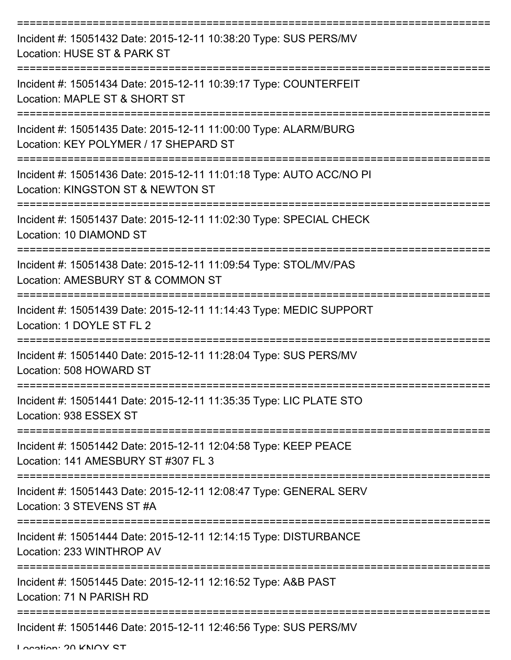| Incident #: 15051432 Date: 2015-12-11 10:38:20 Type: SUS PERS/MV<br>Location: HUSE ST & PARK ST                 |
|-----------------------------------------------------------------------------------------------------------------|
| Incident #: 15051434 Date: 2015-12-11 10:39:17 Type: COUNTERFEIT<br>Location: MAPLE ST & SHORT ST               |
| Incident #: 15051435 Date: 2015-12-11 11:00:00 Type: ALARM/BURG<br>Location: KEY POLYMER / 17 SHEPARD ST        |
| Incident #: 15051436 Date: 2015-12-11 11:01:18 Type: AUTO ACC/NO PI<br>Location: KINGSTON ST & NEWTON ST        |
| Incident #: 15051437 Date: 2015-12-11 11:02:30 Type: SPECIAL CHECK<br>Location: 10 DIAMOND ST                   |
| Incident #: 15051438 Date: 2015-12-11 11:09:54 Type: STOL/MV/PAS<br>Location: AMESBURY ST & COMMON ST           |
| Incident #: 15051439 Date: 2015-12-11 11:14:43 Type: MEDIC SUPPORT<br>Location: 1 DOYLE ST FL 2                 |
| Incident #: 15051440 Date: 2015-12-11 11:28:04 Type: SUS PERS/MV<br>Location: 508 HOWARD ST                     |
| Incident #: 15051441 Date: 2015-12-11 11:35:35 Type: LIC PLATE STO<br>Location: 938 ESSEX ST<br>--------------- |
| Incident #: 15051442 Date: 2015-12-11 12:04:58 Type: KEEP PEACE<br>Location: 141 AMESBURY ST #307 FL 3          |
| Incident #: 15051443 Date: 2015-12-11 12:08:47 Type: GENERAL SERV<br>Location: 3 STEVENS ST #A                  |
| Incident #: 15051444 Date: 2015-12-11 12:14:15 Type: DISTURBANCE<br>Location: 233 WINTHROP AV                   |
| Incident #: 15051445 Date: 2015-12-11 12:16:52 Type: A&B PAST<br>Location: 71 N PARISH RD                       |
| Incident #: 15051446 Date: 2015-12-11 12:46:56 Type: SUS PERS/MV                                                |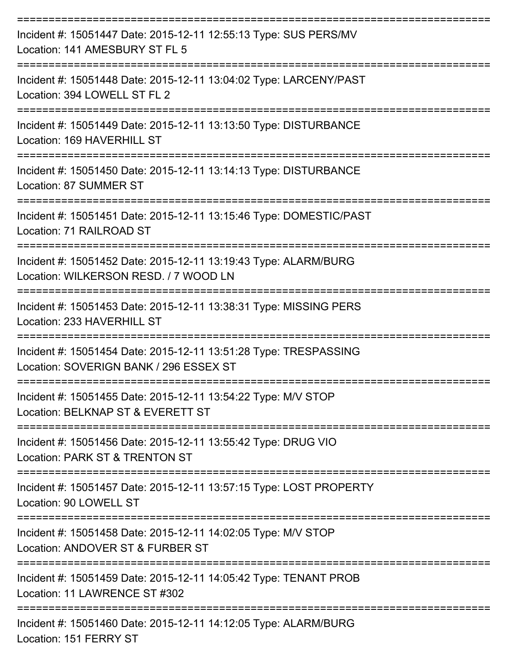| Incident #: 15051447 Date: 2015-12-11 12:55:13 Type: SUS PERS/MV<br>Location: 141 AMESBURY ST FL 5                       |
|--------------------------------------------------------------------------------------------------------------------------|
| Incident #: 15051448 Date: 2015-12-11 13:04:02 Type: LARCENY/PAST<br>Location: 394 LOWELL ST FL 2                        |
| Incident #: 15051449 Date: 2015-12-11 13:13:50 Type: DISTURBANCE<br>Location: 169 HAVERHILL ST                           |
| Incident #: 15051450 Date: 2015-12-11 13:14:13 Type: DISTURBANCE<br>Location: 87 SUMMER ST                               |
| Incident #: 15051451 Date: 2015-12-11 13:15:46 Type: DOMESTIC/PAST<br>Location: 71 RAILROAD ST                           |
| Incident #: 15051452 Date: 2015-12-11 13:19:43 Type: ALARM/BURG<br>Location: WILKERSON RESD. / 7 WOOD LN                 |
| ---------------------<br>Incident #: 15051453 Date: 2015-12-11 13:38:31 Type: MISSING PERS<br>Location: 233 HAVERHILL ST |
| Incident #: 15051454 Date: 2015-12-11 13:51:28 Type: TRESPASSING<br>Location: SOVERIGN BANK / 296 ESSEX ST               |
| Incident #: 15051455 Date: 2015-12-11 13:54:22 Type: M/V STOP<br>Location: BELKNAP ST & EVERETT ST                       |
| Incident #: 15051456 Date: 2015-12-11 13:55:42 Type: DRUG VIO<br>Location: PARK ST & TRENTON ST                          |
| Incident #: 15051457 Date: 2015-12-11 13:57:15 Type: LOST PROPERTY<br>Location: 90 LOWELL ST                             |
| Incident #: 15051458 Date: 2015-12-11 14:02:05 Type: M/V STOP<br>Location: ANDOVER ST & FURBER ST                        |
| Incident #: 15051459 Date: 2015-12-11 14:05:42 Type: TENANT PROB<br>Location: 11 LAWRENCE ST #302                        |
| Incident #: 15051460 Date: 2015-12-11 14:12:05 Type: ALARM/BURG<br>Location: 151 FERRY ST                                |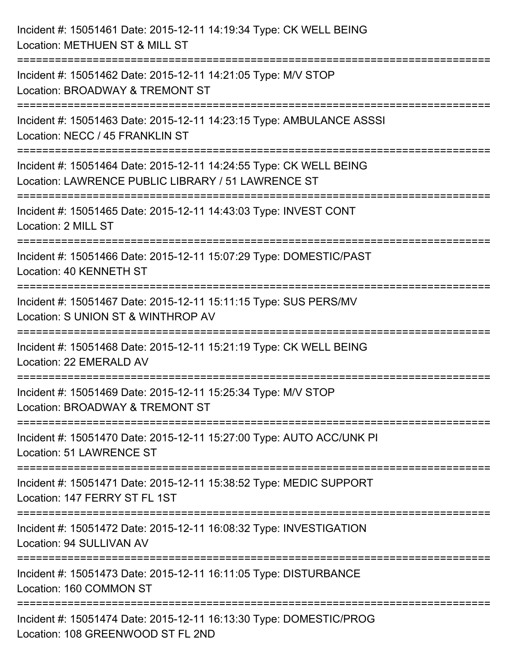| Incident #: 15051461 Date: 2015-12-11 14:19:34 Type: CK WELL BEING<br>Location: METHUEN ST & MILL ST                             |
|----------------------------------------------------------------------------------------------------------------------------------|
| :===========================<br>Incident #: 15051462 Date: 2015-12-11 14:21:05 Type: M/V STOP<br>Location: BROADWAY & TREMONT ST |
| Incident #: 15051463 Date: 2015-12-11 14:23:15 Type: AMBULANCE ASSSI<br>Location: NECC / 45 FRANKLIN ST                          |
| Incident #: 15051464 Date: 2015-12-11 14:24:55 Type: CK WELL BEING<br>Location: LAWRENCE PUBLIC LIBRARY / 51 LAWRENCE ST         |
| Incident #: 15051465 Date: 2015-12-11 14:43:03 Type: INVEST CONT<br>Location: 2 MILL ST<br>:===========================          |
| Incident #: 15051466 Date: 2015-12-11 15:07:29 Type: DOMESTIC/PAST<br>Location: 40 KENNETH ST                                    |
| Incident #: 15051467 Date: 2015-12-11 15:11:15 Type: SUS PERS/MV<br>Location: S UNION ST & WINTHROP AV                           |
| Incident #: 15051468 Date: 2015-12-11 15:21:19 Type: CK WELL BEING<br>Location: 22 EMERALD AV                                    |
| Incident #: 15051469 Date: 2015-12-11 15:25:34 Type: M/V STOP<br>Location: BROADWAY & TREMONT ST                                 |
| Incident #: 15051470 Date: 2015-12-11 15:27:00 Type: AUTO ACC/UNK PI<br><b>Location: 51 LAWRENCE ST</b>                          |
| Incident #: 15051471 Date: 2015-12-11 15:38:52 Type: MEDIC SUPPORT<br>Location: 147 FERRY ST FL 1ST                              |
| Incident #: 15051472 Date: 2015-12-11 16:08:32 Type: INVESTIGATION<br>Location: 94 SULLIVAN AV                                   |
| Incident #: 15051473 Date: 2015-12-11 16:11:05 Type: DISTURBANCE<br>Location: 160 COMMON ST                                      |
| Incident #: 15051474 Date: 2015-12-11 16:13:30 Type: DOMESTIC/PROG<br>Location: 108 GREENWOOD ST FL 2ND                          |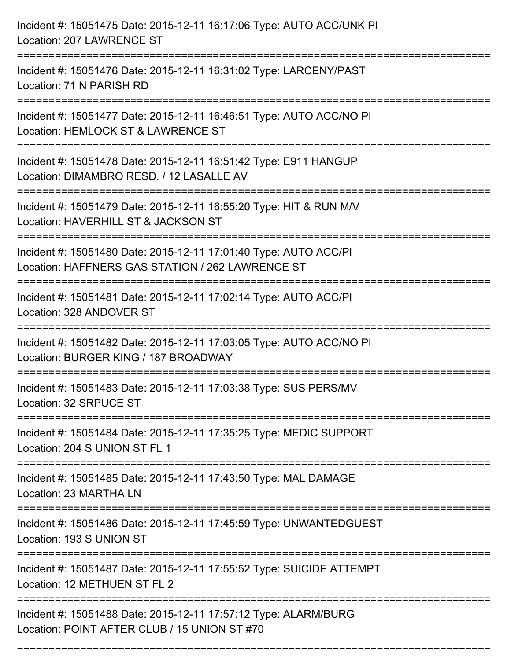| Incident #: 15051475 Date: 2015-12-11 16:17:06 Type: AUTO ACC/UNK PI<br>Location: 207 LAWRENCE ST                                                             |
|---------------------------------------------------------------------------------------------------------------------------------------------------------------|
| Incident #: 15051476 Date: 2015-12-11 16:31:02 Type: LARCENY/PAST<br>Location: 71 N PARISH RD                                                                 |
| Incident #: 15051477 Date: 2015-12-11 16:46:51 Type: AUTO ACC/NO PI<br>Location: HEMLOCK ST & LAWRENCE ST<br>===================================              |
| Incident #: 15051478 Date: 2015-12-11 16:51:42 Type: E911 HANGUP<br>Location: DIMAMBRO RESD. / 12 LASALLE AV                                                  |
| Incident #: 15051479 Date: 2015-12-11 16:55:20 Type: HIT & RUN M/V<br>Location: HAVERHILL ST & JACKSON ST                                                     |
| Incident #: 15051480 Date: 2015-12-11 17:01:40 Type: AUTO ACC/PI<br>Location: HAFFNERS GAS STATION / 262 LAWRENCE ST<br>===================================== |
| Incident #: 15051481 Date: 2015-12-11 17:02:14 Type: AUTO ACC/PI<br>Location: 328 ANDOVER ST                                                                  |
| Incident #: 15051482 Date: 2015-12-11 17:03:05 Type: AUTO ACC/NO PI<br>Location: BURGER KING / 187 BROADWAY                                                   |
| Incident #: 15051483 Date: 2015-12-11 17:03:38 Type: SUS PERS/MV<br>Location: 32 SRPUCE ST                                                                    |
| Incident #: 15051484 Date: 2015-12-11 17:35:25 Type: MEDIC SUPPORT<br>Location: 204 S UNION ST FL 1                                                           |
| Incident #: 15051485 Date: 2015-12-11 17:43:50 Type: MAL DAMAGE<br>Location: 23 MARTHA LN                                                                     |
| Incident #: 15051486 Date: 2015-12-11 17:45:59 Type: UNWANTEDGUEST<br>Location: 193 S UNION ST                                                                |
| Incident #: 15051487 Date: 2015-12-11 17:55:52 Type: SUICIDE ATTEMPT<br>Location: 12 METHUEN ST FL 2                                                          |
| Incident #: 15051488 Date: 2015-12-11 17:57:12 Type: ALARM/BURG<br>Location: POINT AFTER CLUB / 15 UNION ST #70                                               |

===========================================================================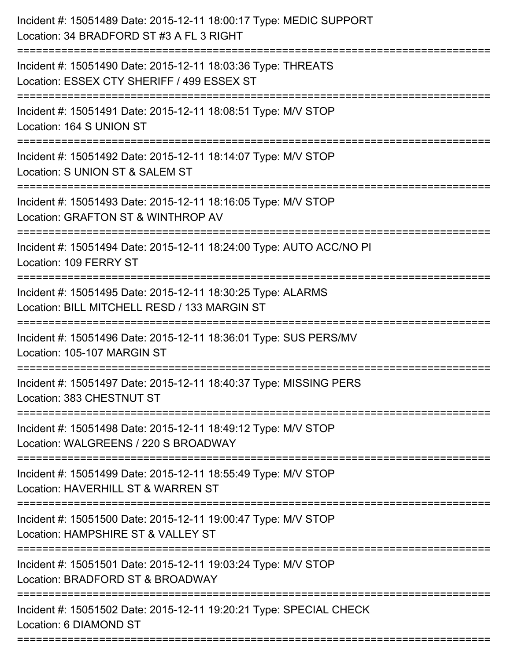| Incident #: 15051489 Date: 2015-12-11 18:00:17 Type: MEDIC SUPPORT<br>Location: 34 BRADFORD ST #3 A FL 3 RIGHT                           |
|------------------------------------------------------------------------------------------------------------------------------------------|
| Incident #: 15051490 Date: 2015-12-11 18:03:36 Type: THREATS<br>Location: ESSEX CTY SHERIFF / 499 ESSEX ST                               |
| Incident #: 15051491 Date: 2015-12-11 18:08:51 Type: M/V STOP<br>Location: 164 S UNION ST                                                |
| Incident #: 15051492 Date: 2015-12-11 18:14:07 Type: M/V STOP<br>Location: S UNION ST & SALEM ST                                         |
| Incident #: 15051493 Date: 2015-12-11 18:16:05 Type: M/V STOP<br>Location: GRAFTON ST & WINTHROP AV                                      |
| Incident #: 15051494 Date: 2015-12-11 18:24:00 Type: AUTO ACC/NO PI<br>Location: 109 FERRY ST                                            |
| Incident #: 15051495 Date: 2015-12-11 18:30:25 Type: ALARMS<br>Location: BILL MITCHELL RESD / 133 MARGIN ST<br>========================= |
| Incident #: 15051496 Date: 2015-12-11 18:36:01 Type: SUS PERS/MV<br>Location: 105-107 MARGIN ST                                          |
| Incident #: 15051497 Date: 2015-12-11 18:40:37 Type: MISSING PERS<br>Location: 383 CHESTNUT ST                                           |
| Incident #: 15051498 Date: 2015-12-11 18:49:12 Type: M/V STOP<br>Location: WALGREENS / 220 S BROADWAY                                    |
| Incident #: 15051499 Date: 2015-12-11 18:55:49 Type: M/V STOP<br>Location: HAVERHILL ST & WARREN ST                                      |
| Incident #: 15051500 Date: 2015-12-11 19:00:47 Type: M/V STOP<br>Location: HAMPSHIRE ST & VALLEY ST<br>======================            |
| Incident #: 15051501 Date: 2015-12-11 19:03:24 Type: M/V STOP<br>Location: BRADFORD ST & BROADWAY                                        |
| Incident #: 15051502 Date: 2015-12-11 19:20:21 Type: SPECIAL CHECK<br>Location: 6 DIAMOND ST                                             |
|                                                                                                                                          |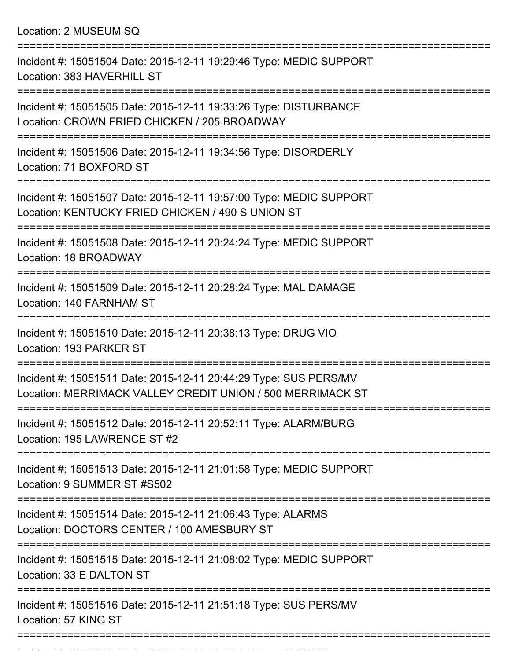Location: 2 MUSEUM SQ

| Incident #: 15051504 Date: 2015-12-11 19:29:46 Type: MEDIC SUPPORT<br>Location: 383 HAVERHILL ST                               |
|--------------------------------------------------------------------------------------------------------------------------------|
| Incident #: 15051505 Date: 2015-12-11 19:33:26 Type: DISTURBANCE<br>Location: CROWN FRIED CHICKEN / 205 BROADWAY               |
| Incident #: 15051506 Date: 2015-12-11 19:34:56 Type: DISORDERLY<br>Location: 71 BOXFORD ST                                     |
| Incident #: 15051507 Date: 2015-12-11 19:57:00 Type: MEDIC SUPPORT<br>Location: KENTUCKY FRIED CHICKEN / 490 S UNION ST        |
| Incident #: 15051508 Date: 2015-12-11 20:24:24 Type: MEDIC SUPPORT<br>Location: 18 BROADWAY                                    |
| Incident #: 15051509 Date: 2015-12-11 20:28:24 Type: MAL DAMAGE<br>Location: 140 FARNHAM ST                                    |
| Incident #: 15051510 Date: 2015-12-11 20:38:13 Type: DRUG VIO<br>Location: 193 PARKER ST                                       |
| Incident #: 15051511 Date: 2015-12-11 20:44:29 Type: SUS PERS/MV<br>Location: MERRIMACK VALLEY CREDIT UNION / 500 MERRIMACK ST |
| Incident #: 15051512 Date: 2015-12-11 20:52:11 Type: ALARM/BURG<br>Location: 195 LAWRENCE ST #2                                |
| Incident #: 15051513 Date: 2015-12-11 21:01:58 Type: MEDIC SUPPORT<br>Location: 9 SUMMER ST #S502                              |
| Incident #: 15051514 Date: 2015-12-11 21:06:43 Type: ALARMS<br>Location: DOCTORS CENTER / 100 AMESBURY ST                      |
| Incident #: 15051515 Date: 2015-12-11 21:08:02 Type: MEDIC SUPPORT<br>Location: 33 E DALTON ST                                 |
| Incident #: 15051516 Date: 2015-12-11 21:51:18 Type: SUS PERS/MV<br>Location: 57 KING ST                                       |
|                                                                                                                                |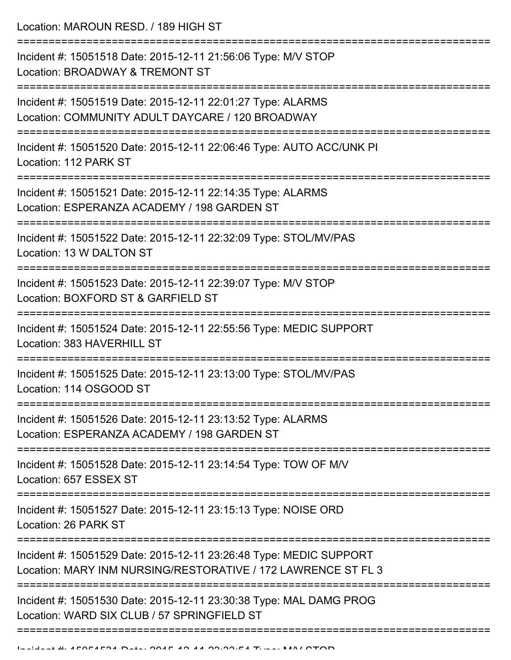Location: MAROUN RESD. / 189 HIGH ST

| Incident #: 15051518 Date: 2015-12-11 21:56:06 Type: M/V STOP<br>Location: BROADWAY & TREMONT ST                                    |
|-------------------------------------------------------------------------------------------------------------------------------------|
| Incident #: 15051519 Date: 2015-12-11 22:01:27 Type: ALARMS<br>Location: COMMUNITY ADULT DAYCARE / 120 BROADWAY                     |
| Incident #: 15051520 Date: 2015-12-11 22:06:46 Type: AUTO ACC/UNK PI<br>Location: 112 PARK ST                                       |
| Incident #: 15051521 Date: 2015-12-11 22:14:35 Type: ALARMS<br>Location: ESPERANZA ACADEMY / 198 GARDEN ST                          |
| Incident #: 15051522 Date: 2015-12-11 22:32:09 Type: STOL/MV/PAS<br>Location: 13 W DALTON ST                                        |
| Incident #: 15051523 Date: 2015-12-11 22:39:07 Type: M/V STOP<br>Location: BOXFORD ST & GARFIELD ST                                 |
| Incident #: 15051524 Date: 2015-12-11 22:55:56 Type: MEDIC SUPPORT<br>Location: 383 HAVERHILL ST                                    |
| Incident #: 15051525 Date: 2015-12-11 23:13:00 Type: STOL/MV/PAS<br>Location: 114 OSGOOD ST                                         |
| Incident #: 15051526 Date: 2015-12-11 23:13:52 Type: ALARMS<br>Location: ESPERANZA ACADEMY / 198 GARDEN ST                          |
| Incident #: 15051528 Date: 2015-12-11 23:14:54 Type: TOW OF M/V<br>Location: 657 ESSEX ST                                           |
| Incident #: 15051527 Date: 2015-12-11 23:15:13 Type: NOISE ORD<br>Location: 26 PARK ST                                              |
| Incident #: 15051529 Date: 2015-12-11 23:26:48 Type: MEDIC SUPPORT<br>Location: MARY INM NURSING/RESTORATIVE / 172 LAWRENCE ST FL 3 |
| Incident #: 15051530 Date: 2015-12-11 23:30:38 Type: MAL DAMG PROG<br>Location: WARD SIX CLUB / 57 SPRINGFIELD ST                   |
|                                                                                                                                     |